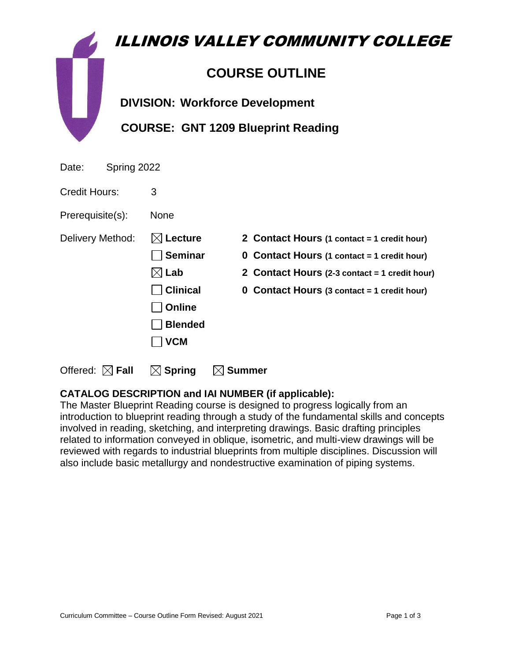|                      | ILLINOIS VALLEY COMMUNITY COLLEGE         |
|----------------------|-------------------------------------------|
|                      | <b>COURSE OUTLINE</b>                     |
|                      | <b>DIVISION: Workforce Development</b>    |
|                      | <b>COURSE: GNT 1209 Blueprint Reading</b> |
| Spring 2022<br>Date: |                                           |
| Credit Hours:        | 3                                         |

Prerequisite(s): None

**Online** 

**Blended**

 **VCM**

Delivery Method: **Lecture 2 Contact Hours (1 contact = 1 credit hour)**

**Seminar 0 Contact Hours (1 contact = 1 credit hour)**

**Lab 2 Contact Hours (2-3 contact = 1 credit hour)**

**Clinical 0 Contact Hours (3 contact = 1 credit hour)**

Offered:  $\boxtimes$  **Fall**  $\boxtimes$  Spring  $\boxtimes$  Summer

# **CATALOG DESCRIPTION and IAI NUMBER (if applicable):**

The Master Blueprint Reading course is designed to progress logically from an introduction to blueprint reading through a study of the fundamental skills and concepts involved in reading, sketching, and interpreting drawings. Basic drafting principles related to information conveyed in oblique, isometric, and multi-view drawings will be reviewed with regards to industrial blueprints from multiple disciplines. Discussion will also include basic metallurgy and nondestructive examination of piping systems.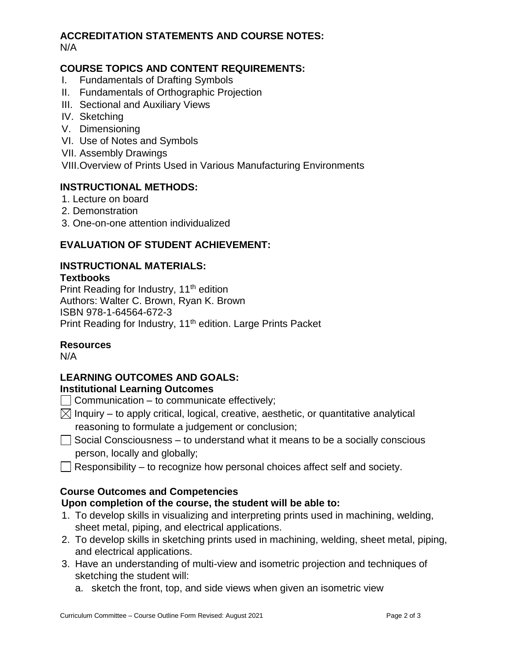# **ACCREDITATION STATEMENTS AND COURSE NOTES:**

N/A

## **COURSE TOPICS AND CONTENT REQUIREMENTS:**

- I. Fundamentals of Drafting Symbols
- II. Fundamentals of Orthographic Projection
- III. Sectional and Auxiliary Views
- IV. Sketching
- V. Dimensioning
- VI. Use of Notes and Symbols
- VII. Assembly Drawings

VIII.Overview of Prints Used in Various Manufacturing Environments

## **INSTRUCTIONAL METHODS:**

- 1. Lecture on board
- 2. Demonstration
- 3. One-on-one attention individualized

# **EVALUATION OF STUDENT ACHIEVEMENT:**

# **INSTRUCTIONAL MATERIALS:**

#### **Textbooks**

Print Reading for Industry, 11<sup>th</sup> edition Authors: Walter C. Brown, Ryan K. Brown ISBN 978-1-64564-672-3 Print Reading for Industry, 11<sup>th</sup> edition. Large Prints Packet

### **Resources**

N/A

# **LEARNING OUTCOMES AND GOALS:**

### **Institutional Learning Outcomes**

- $\Box$  Communication to communicate effectively;
- $\boxtimes$  Inquiry to apply critical, logical, creative, aesthetic, or quantitative analytical reasoning to formulate a judgement or conclusion;
- $\Box$  Social Consciousness to understand what it means to be a socially conscious person, locally and globally;
- $\Box$  Responsibility to recognize how personal choices affect self and society.

# **Course Outcomes and Competencies**

### **Upon completion of the course, the student will be able to:**

- 1. To develop skills in visualizing and interpreting prints used in machining, welding, sheet metal, piping, and electrical applications.
- 2. To develop skills in sketching prints used in machining, welding, sheet metal, piping, and electrical applications.
- 3. Have an understanding of multi-view and isometric projection and techniques of sketching the student will:
	- a. sketch the front, top, and side views when given an isometric view